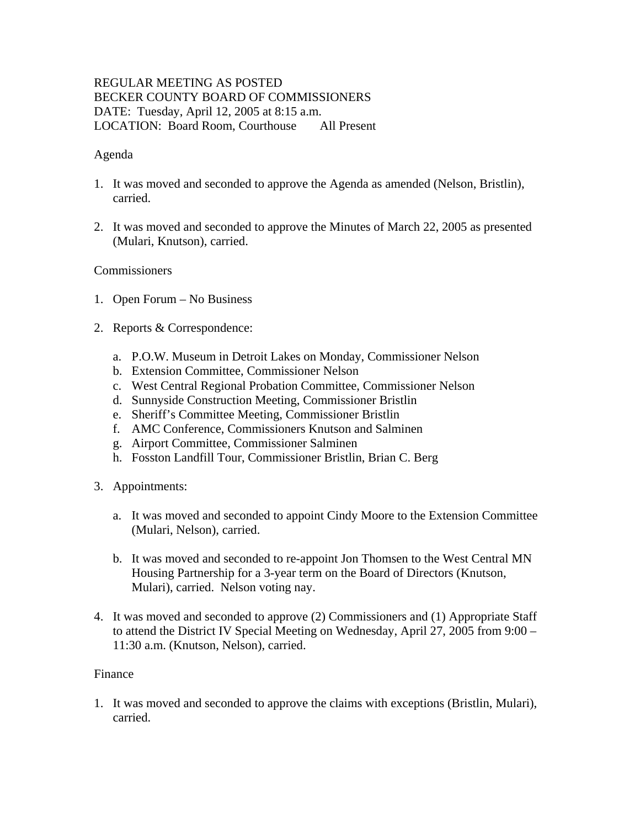# REGULAR MEETING AS POSTED BECKER COUNTY BOARD OF COMMISSIONERS DATE: Tuesday, April 12, 2005 at 8:15 a.m. LOCATION: Board Room, Courthouse All Present

## Agenda

- 1. It was moved and seconded to approve the Agenda as amended (Nelson, Bristlin), carried.
- 2. It was moved and seconded to approve the Minutes of March 22, 2005 as presented (Mulari, Knutson), carried.

## **Commissioners**

- 1. Open Forum No Business
- 2. Reports & Correspondence:
	- a. P.O.W. Museum in Detroit Lakes on Monday, Commissioner Nelson
	- b. Extension Committee, Commissioner Nelson
	- c. West Central Regional Probation Committee, Commissioner Nelson
	- d. Sunnyside Construction Meeting, Commissioner Bristlin
	- e. Sheriff's Committee Meeting, Commissioner Bristlin
	- f. AMC Conference, Commissioners Knutson and Salminen
	- g. Airport Committee, Commissioner Salminen
	- h. Fosston Landfill Tour, Commissioner Bristlin, Brian C. Berg
- 3. Appointments:
	- a. It was moved and seconded to appoint Cindy Moore to the Extension Committee (Mulari, Nelson), carried.
	- b. It was moved and seconded to re-appoint Jon Thomsen to the West Central MN Housing Partnership for a 3-year term on the Board of Directors (Knutson, Mulari), carried. Nelson voting nay.
- 4. It was moved and seconded to approve (2) Commissioners and (1) Appropriate Staff to attend the District IV Special Meeting on Wednesday, April 27, 2005 from 9:00 – 11:30 a.m. (Knutson, Nelson), carried.

#### Finance

1. It was moved and seconded to approve the claims with exceptions (Bristlin, Mulari), carried.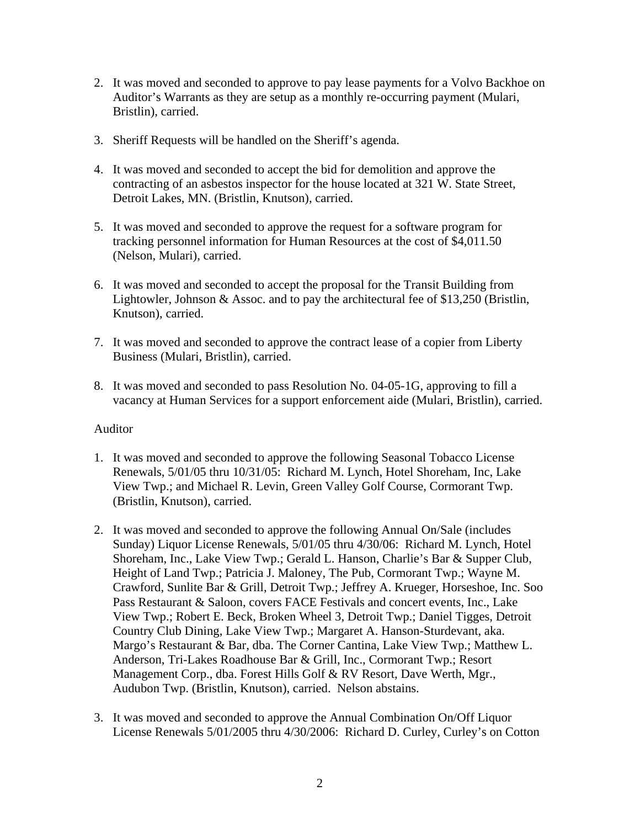- 2. It was moved and seconded to approve to pay lease payments for a Volvo Backhoe on Auditor's Warrants as they are setup as a monthly re-occurring payment (Mulari, Bristlin), carried.
- 3. Sheriff Requests will be handled on the Sheriff's agenda.
- 4. It was moved and seconded to accept the bid for demolition and approve the contracting of an asbestos inspector for the house located at 321 W. State Street, Detroit Lakes, MN. (Bristlin, Knutson), carried.
- 5. It was moved and seconded to approve the request for a software program for tracking personnel information for Human Resources at the cost of \$4,011.50 (Nelson, Mulari), carried.
- 6. It was moved and seconded to accept the proposal for the Transit Building from Lightowler, Johnson & Assoc. and to pay the architectural fee of \$13,250 (Bristlin, Knutson), carried.
- 7. It was moved and seconded to approve the contract lease of a copier from Liberty Business (Mulari, Bristlin), carried.
- 8. It was moved and seconded to pass Resolution No. 04-05-1G, approving to fill a vacancy at Human Services for a support enforcement aide (Mulari, Bristlin), carried.

## Auditor

- 1. It was moved and seconded to approve the following Seasonal Tobacco License Renewals, 5/01/05 thru 10/31/05: Richard M. Lynch, Hotel Shoreham, Inc, Lake View Twp.; and Michael R. Levin, Green Valley Golf Course, Cormorant Twp. (Bristlin, Knutson), carried.
- 2. It was moved and seconded to approve the following Annual On/Sale (includes Sunday) Liquor License Renewals, 5/01/05 thru 4/30/06: Richard M. Lynch, Hotel Shoreham, Inc., Lake View Twp.; Gerald L. Hanson, Charlie's Bar & Supper Club, Height of Land Twp.; Patricia J. Maloney, The Pub, Cormorant Twp.; Wayne M. Crawford, Sunlite Bar & Grill, Detroit Twp.; Jeffrey A. Krueger, Horseshoe, Inc. Soo Pass Restaurant & Saloon, covers FACE Festivals and concert events, Inc., Lake View Twp.; Robert E. Beck, Broken Wheel 3, Detroit Twp.; Daniel Tigges, Detroit Country Club Dining, Lake View Twp.; Margaret A. Hanson-Sturdevant, aka. Margo's Restaurant & Bar, dba. The Corner Cantina, Lake View Twp.; Matthew L. Anderson, Tri-Lakes Roadhouse Bar & Grill, Inc., Cormorant Twp.; Resort Management Corp., dba. Forest Hills Golf & RV Resort, Dave Werth, Mgr., Audubon Twp. (Bristlin, Knutson), carried. Nelson abstains.
- 3. It was moved and seconded to approve the Annual Combination On/Off Liquor License Renewals 5/01/2005 thru 4/30/2006: Richard D. Curley, Curley's on Cotton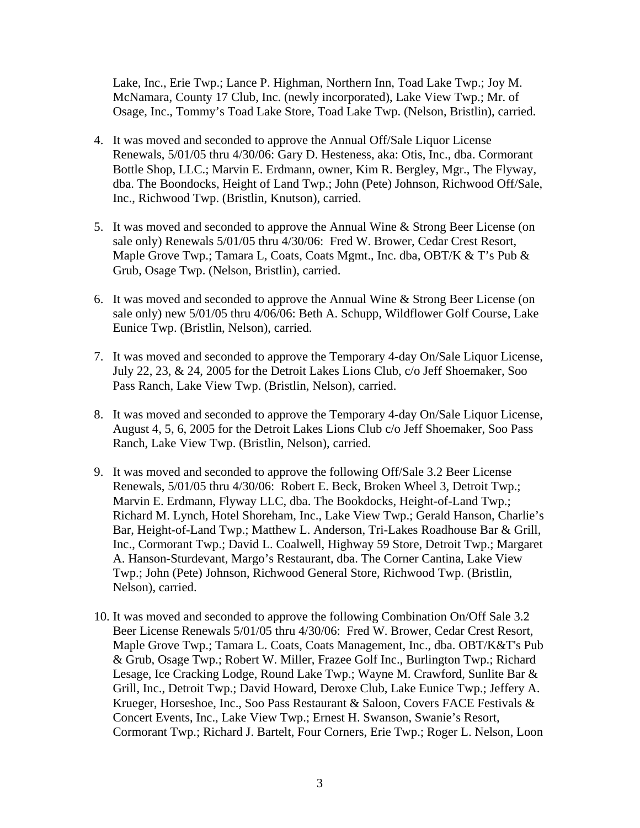Lake, Inc., Erie Twp.; Lance P. Highman, Northern Inn, Toad Lake Twp.; Joy M. McNamara, County 17 Club, Inc. (newly incorporated), Lake View Twp.; Mr. of Osage, Inc., Tommy's Toad Lake Store, Toad Lake Twp. (Nelson, Bristlin), carried.

- 4. It was moved and seconded to approve the Annual Off/Sale Liquor License Renewals, 5/01/05 thru 4/30/06: Gary D. Hesteness, aka: Otis, Inc., dba. Cormorant Bottle Shop, LLC.; Marvin E. Erdmann, owner, Kim R. Bergley, Mgr., The Flyway, dba. The Boondocks, Height of Land Twp.; John (Pete) Johnson, Richwood Off/Sale, Inc., Richwood Twp. (Bristlin, Knutson), carried.
- 5. It was moved and seconded to approve the Annual Wine & Strong Beer License (on sale only) Renewals 5/01/05 thru 4/30/06: Fred W. Brower, Cedar Crest Resort, Maple Grove Twp.; Tamara L, Coats, Coats Mgmt., Inc. dba, OBT/K & T's Pub & Grub, Osage Twp. (Nelson, Bristlin), carried.
- 6. It was moved and seconded to approve the Annual Wine & Strong Beer License (on sale only) new 5/01/05 thru 4/06/06: Beth A. Schupp, Wildflower Golf Course, Lake Eunice Twp. (Bristlin, Nelson), carried.
- 7. It was moved and seconded to approve the Temporary 4-day On/Sale Liquor License, July 22, 23, & 24, 2005 for the Detroit Lakes Lions Club, c/o Jeff Shoemaker, Soo Pass Ranch, Lake View Twp. (Bristlin, Nelson), carried.
- 8. It was moved and seconded to approve the Temporary 4-day On/Sale Liquor License, August 4, 5, 6, 2005 for the Detroit Lakes Lions Club c/o Jeff Shoemaker, Soo Pass Ranch, Lake View Twp. (Bristlin, Nelson), carried.
- 9. It was moved and seconded to approve the following Off/Sale 3.2 Beer License Renewals, 5/01/05 thru 4/30/06: Robert E. Beck, Broken Wheel 3, Detroit Twp.; Marvin E. Erdmann, Flyway LLC, dba. The Bookdocks, Height-of-Land Twp.; Richard M. Lynch, Hotel Shoreham, Inc., Lake View Twp.; Gerald Hanson, Charlie's Bar, Height-of-Land Twp.; Matthew L. Anderson, Tri-Lakes Roadhouse Bar & Grill, Inc., Cormorant Twp.; David L. Coalwell, Highway 59 Store, Detroit Twp.; Margaret A. Hanson-Sturdevant, Margo's Restaurant, dba. The Corner Cantina, Lake View Twp.; John (Pete) Johnson, Richwood General Store, Richwood Twp. (Bristlin, Nelson), carried.
- 10. It was moved and seconded to approve the following Combination On/Off Sale 3.2 Beer License Renewals 5/01/05 thru 4/30/06: Fred W. Brower, Cedar Crest Resort, Maple Grove Twp.; Tamara L. Coats, Coats Management, Inc., dba. OBT/K&T's Pub & Grub, Osage Twp.; Robert W. Miller, Frazee Golf Inc., Burlington Twp.; Richard Lesage, Ice Cracking Lodge, Round Lake Twp.; Wayne M. Crawford, Sunlite Bar & Grill, Inc., Detroit Twp.; David Howard, Deroxe Club, Lake Eunice Twp.; Jeffery A. Krueger, Horseshoe, Inc., Soo Pass Restaurant & Saloon, Covers FACE Festivals & Concert Events, Inc., Lake View Twp.; Ernest H. Swanson, Swanie's Resort, Cormorant Twp.; Richard J. Bartelt, Four Corners, Erie Twp.; Roger L. Nelson, Loon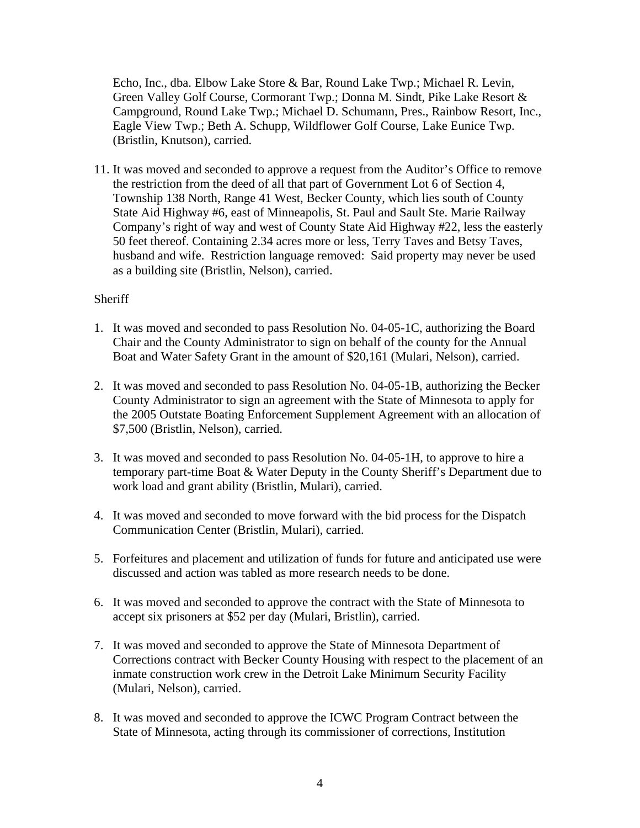Echo, Inc., dba. Elbow Lake Store & Bar, Round Lake Twp.; Michael R. Levin, Green Valley Golf Course, Cormorant Twp.; Donna M. Sindt, Pike Lake Resort & Campground, Round Lake Twp.; Michael D. Schumann, Pres., Rainbow Resort, Inc., Eagle View Twp.; Beth A. Schupp, Wildflower Golf Course, Lake Eunice Twp. (Bristlin, Knutson), carried.

11. It was moved and seconded to approve a request from the Auditor's Office to remove the restriction from the deed of all that part of Government Lot 6 of Section 4, Township 138 North, Range 41 West, Becker County, which lies south of County State Aid Highway #6, east of Minneapolis, St. Paul and Sault Ste. Marie Railway Company's right of way and west of County State Aid Highway #22, less the easterly 50 feet thereof. Containing 2.34 acres more or less, Terry Taves and Betsy Taves, husband and wife. Restriction language removed: Said property may never be used as a building site (Bristlin, Nelson), carried.

#### **Sheriff**

- 1. It was moved and seconded to pass Resolution No. 04-05-1C, authorizing the Board Chair and the County Administrator to sign on behalf of the county for the Annual Boat and Water Safety Grant in the amount of \$20,161 (Mulari, Nelson), carried.
- 2. It was moved and seconded to pass Resolution No. 04-05-1B, authorizing the Becker County Administrator to sign an agreement with the State of Minnesota to apply for the 2005 Outstate Boating Enforcement Supplement Agreement with an allocation of \$7,500 (Bristlin, Nelson), carried.
- 3. It was moved and seconded to pass Resolution No. 04-05-1H, to approve to hire a temporary part-time Boat & Water Deputy in the County Sheriff's Department due to work load and grant ability (Bristlin, Mulari), carried.
- 4. It was moved and seconded to move forward with the bid process for the Dispatch Communication Center (Bristlin, Mulari), carried.
- 5. Forfeitures and placement and utilization of funds for future and anticipated use were discussed and action was tabled as more research needs to be done.
- 6. It was moved and seconded to approve the contract with the State of Minnesota to accept six prisoners at \$52 per day (Mulari, Bristlin), carried.
- 7. It was moved and seconded to approve the State of Minnesota Department of Corrections contract with Becker County Housing with respect to the placement of an inmate construction work crew in the Detroit Lake Minimum Security Facility (Mulari, Nelson), carried.
- 8. It was moved and seconded to approve the ICWC Program Contract between the State of Minnesota, acting through its commissioner of corrections, Institution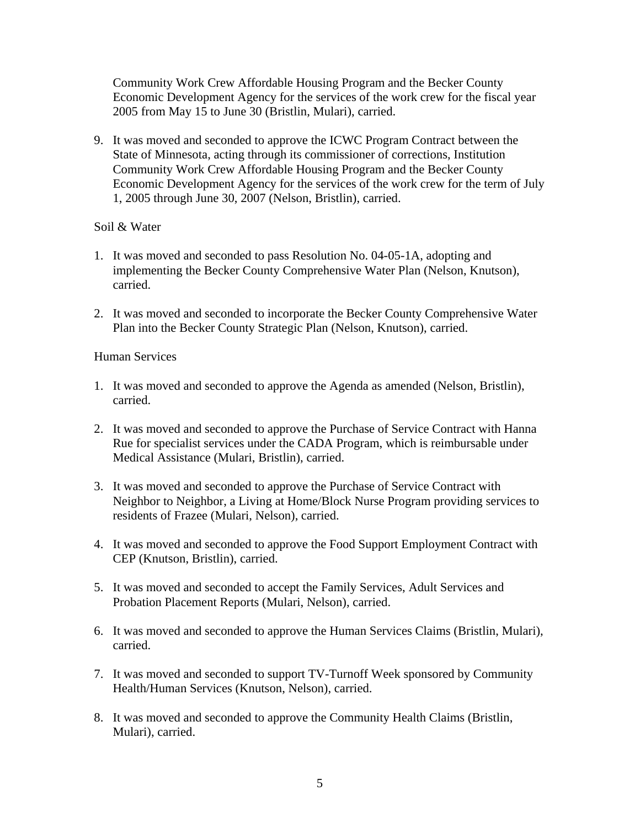Community Work Crew Affordable Housing Program and the Becker County Economic Development Agency for the services of the work crew for the fiscal year 2005 from May 15 to June 30 (Bristlin, Mulari), carried.

9. It was moved and seconded to approve the ICWC Program Contract between the State of Minnesota, acting through its commissioner of corrections, Institution Community Work Crew Affordable Housing Program and the Becker County Economic Development Agency for the services of the work crew for the term of July 1, 2005 through June 30, 2007 (Nelson, Bristlin), carried.

## Soil & Water

- 1. It was moved and seconded to pass Resolution No. 04-05-1A, adopting and implementing the Becker County Comprehensive Water Plan (Nelson, Knutson), carried.
- 2. It was moved and seconded to incorporate the Becker County Comprehensive Water Plan into the Becker County Strategic Plan (Nelson, Knutson), carried.

## Human Services

- 1. It was moved and seconded to approve the Agenda as amended (Nelson, Bristlin), carried.
- 2. It was moved and seconded to approve the Purchase of Service Contract with Hanna Rue for specialist services under the CADA Program, which is reimbursable under Medical Assistance (Mulari, Bristlin), carried.
- 3. It was moved and seconded to approve the Purchase of Service Contract with Neighbor to Neighbor, a Living at Home/Block Nurse Program providing services to residents of Frazee (Mulari, Nelson), carried.
- 4. It was moved and seconded to approve the Food Support Employment Contract with CEP (Knutson, Bristlin), carried.
- 5. It was moved and seconded to accept the Family Services, Adult Services and Probation Placement Reports (Mulari, Nelson), carried.
- 6. It was moved and seconded to approve the Human Services Claims (Bristlin, Mulari), carried.
- 7. It was moved and seconded to support TV-Turnoff Week sponsored by Community Health/Human Services (Knutson, Nelson), carried.
- 8. It was moved and seconded to approve the Community Health Claims (Bristlin, Mulari), carried.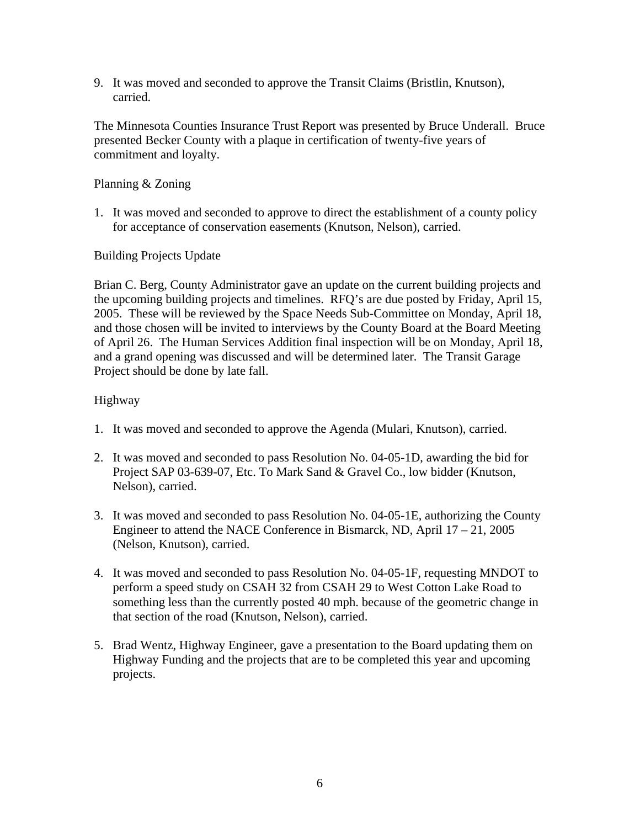9. It was moved and seconded to approve the Transit Claims (Bristlin, Knutson), carried.

The Minnesota Counties Insurance Trust Report was presented by Bruce Underall. Bruce presented Becker County with a plaque in certification of twenty-five years of commitment and loyalty.

## Planning & Zoning

1. It was moved and seconded to approve to direct the establishment of a county policy for acceptance of conservation easements (Knutson, Nelson), carried.

## Building Projects Update

Brian C. Berg, County Administrator gave an update on the current building projects and the upcoming building projects and timelines. RFQ's are due posted by Friday, April 15, 2005. These will be reviewed by the Space Needs Sub-Committee on Monday, April 18, and those chosen will be invited to interviews by the County Board at the Board Meeting of April 26. The Human Services Addition final inspection will be on Monday, April 18, and a grand opening was discussed and will be determined later. The Transit Garage Project should be done by late fall.

## Highway

- 1. It was moved and seconded to approve the Agenda (Mulari, Knutson), carried.
- 2. It was moved and seconded to pass Resolution No. 04-05-1D, awarding the bid for Project SAP 03-639-07, Etc. To Mark Sand & Gravel Co., low bidder (Knutson, Nelson), carried.
- 3. It was moved and seconded to pass Resolution No. 04-05-1E, authorizing the County Engineer to attend the NACE Conference in Bismarck, ND, April  $17 - 21$ , 2005 (Nelson, Knutson), carried.
- 4. It was moved and seconded to pass Resolution No. 04-05-1F, requesting MNDOT to perform a speed study on CSAH 32 from CSAH 29 to West Cotton Lake Road to something less than the currently posted 40 mph. because of the geometric change in that section of the road (Knutson, Nelson), carried.
- 5. Brad Wentz, Highway Engineer, gave a presentation to the Board updating them on Highway Funding and the projects that are to be completed this year and upcoming projects.